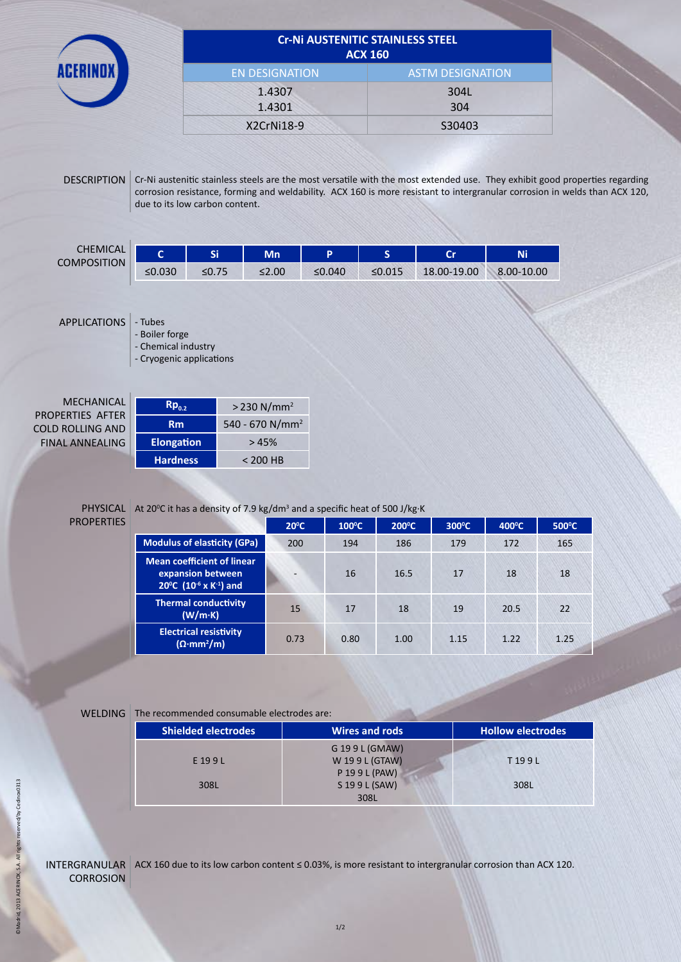|                                                                       | <b>Cr-Ni AUSTENITIC STAINLESS STEEL</b><br><b>ACX 160</b>         |                                |                             |        |              |                                                                                                                                                                                                                                                           |            |  |  |
|-----------------------------------------------------------------------|-------------------------------------------------------------------|--------------------------------|-----------------------------|--------|--------------|-----------------------------------------------------------------------------------------------------------------------------------------------------------------------------------------------------------------------------------------------------------|------------|--|--|
|                                                                       |                                                                   | <b>EN DESIGNATION</b>          |                             |        |              | <b>ASTM DESIGNATION</b>                                                                                                                                                                                                                                   |            |  |  |
|                                                                       |                                                                   |                                | 1.4307<br>1.4301            |        |              | 304L<br>304                                                                                                                                                                                                                                               |            |  |  |
|                                                                       |                                                                   |                                | X2CrNi18-9                  |        |              | S30403                                                                                                                                                                                                                                                    |            |  |  |
| <b>DESCRIPTION</b>                                                    |                                                                   | due to its low carbon content. |                             |        |              | Cr-Ni austenitic stainless steels are the most versatile with the most extended use. They exhibit good properties regarding<br>corrosion resistance, forming and weldability. ACX 160 is more resistant to intergranular corrosion in welds than ACX 120, |            |  |  |
| <b>CHEMICAL</b><br><b>COMPOSITION</b>                                 | $\mathbf{C}$                                                      | Si                             | Mn                          | P      | S            | <b>Cr</b>                                                                                                                                                                                                                                                 | Ni         |  |  |
|                                                                       | $≤0.030$                                                          | $≤0.75$                        | ≤2.00                       | ≤0.040 | $\leq 0.015$ | 18.00-19.00                                                                                                                                                                                                                                               | 8.00-10.00 |  |  |
| <b>APPLICATIONS</b>                                                   | - Tubes                                                           |                                |                             |        |              |                                                                                                                                                                                                                                                           |            |  |  |
|                                                                       | - Boiler forge<br>- Chemical industry<br>- Cryogenic applications |                                |                             |        |              |                                                                                                                                                                                                                                                           |            |  |  |
| <b>MECHANICAL</b>                                                     | $Rp_{0.2}$                                                        |                                | $> 230$ N/mm <sup>2</sup>   |        |              |                                                                                                                                                                                                                                                           |            |  |  |
|                                                                       | <b>Rm</b>                                                         |                                | 540 - 670 N/mm <sup>2</sup> |        |              |                                                                                                                                                                                                                                                           |            |  |  |
| PROPERTIES AFTER<br><b>COLD ROLLING AND</b><br><b>FINAL ANNEALING</b> | <b>Elongation</b>                                                 |                                | >45%                        |        |              |                                                                                                                                                                                                                                                           |            |  |  |

**PROPERTIES** 

|                                                                                                          | $20^{\circ}$ C           | $100^{\circ}$ C | $200^{\circ}$ C | $300^{\circ}$ C | $400^{\circ}$ C | $500^{\circ}$ C |
|----------------------------------------------------------------------------------------------------------|--------------------------|-----------------|-----------------|-----------------|-----------------|-----------------|
| <b>Modulus of elasticity (GPa)</b>                                                                       | 200                      | 194             | 186             | 179             | 172             | 165             |
| <b>Mean coefficient of linear</b><br>expansion between<br>20°C (10 <sup>-6</sup> x K <sup>-1</sup> ) and | $\overline{\phantom{0}}$ | 16              | 16.5            | 17              | 18              | 18              |
| <b>Thermal conductivity</b><br>(W/m·K)                                                                   | 15                       | 17              | 18              | 19              | 20.5            | 22              |
| <b>Electrical resistivity</b><br>$(\Omega \cdot mm^2/m)$                                                 | 0.73                     | 0.80            | 1.00            | 1.15            | 1.22            | 1.25            |

## WELDING The recommended consumable electrodes are:

 $\overline{\phantom{a}}$ 

| <b>Shielded electrodes</b> | <b>Wires and rods</b> | <b>Hollow electrodes</b> |
|----------------------------|-----------------------|--------------------------|
|                            | G 19 9 L (GMAW)       |                          |
| E 199L                     | W 199L (GTAW)         | T199L                    |
|                            | P 19 9 L (PAW)        |                          |
| 308L                       | S 19 9 L (SAW)        | 308L                     |
|                            | 308L                  |                          |

eserved/by Cedinox0313 ©Madrid, 2013 ACERINOX, S.A. All rights reserved/by Cedinox0313©Madrid, 2013 ACERINOX, S.A. All rights n

INTERGRANULAR  $\overline{ACX}$  160 due to its low carbon content  $\leq$  0.03%, is more resistant to intergranular corrosion than ACX 120. **CORROSION**